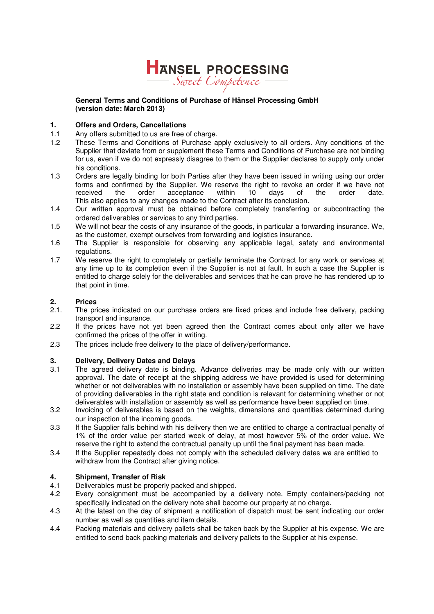

#### **General Terms and Conditions of Purchase of Hänsel Processing GmbH (version date: March 2013)**

#### **1. Offers and Orders, Cancellations**

- 1.1 Any offers submitted to us are free of charge.
- 1.2 These Terms and Conditions of Purchase apply exclusively to all orders. Any conditions of the Supplier that deviate from or supplement these Terms and Conditions of Purchase are not binding for us, even if we do not expressly disagree to them or the Supplier declares to supply only under his conditions.
- 1.3 Orders are legally binding for both Parties after they have been issued in writing using our order forms and confirmed by the Supplier. We reserve the right to revoke an order if we have not received the order acceptance within 10 days of the order date. received the order acceptance within 10 days of the order date. This also applies to any changes made to the Contract after its conclusion.
- 1.4 Our written approval must be obtained before completely transferring or subcontracting the ordered deliverables or services to any third parties.
- 1.5 We will not bear the costs of any insurance of the goods, in particular a forwarding insurance. We, as the customer, exempt ourselves from forwarding and logistics insurance.
- 1.6 The Supplier is responsible for observing any applicable legal, safety and environmental regulations.
- 1.7 We reserve the right to completely or partially terminate the Contract for any work or services at any time up to its completion even if the Supplier is not at fault. In such a case the Supplier is entitled to charge solely for the deliverables and services that he can prove he has rendered up to that point in time.

### **2.** Prices<br>2.1. The pr

- The prices indicated on our purchase orders are fixed prices and include free delivery, packing transport and insurance.
- 2.2 If the prices have not yet been agreed then the Contract comes about only after we have confirmed the prices of the offer in writing.
- 2.3 The prices include free delivery to the place of delivery/performance.

#### **3. Delivery, Delivery Dates and Delays**

- 3.1 The agreed delivery date is binding. Advance deliveries may be made only with our written approval. The date of receipt at the shipping address we have provided is used for determining whether or not deliverables with no installation or assembly have been supplied on time. The date of providing deliverables in the right state and condition is relevant for determining whether or not deliverables with installation or assembly as well as performance have been supplied on time.
- 3.2 Invoicing of deliverables is based on the weights, dimensions and quantities determined during our inspection of the incoming goods.
- 3.3 If the Supplier falls behind with his delivery then we are entitled to charge a contractual penalty of 1% of the order value per started week of delay, at most however 5% of the order value. We reserve the right to extend the contractual penalty up until the final payment has been made.
- 3.4 If the Supplier repeatedly does not comply with the scheduled delivery dates we are entitled to withdraw from the Contract after giving notice.

#### **4. Shipment, Transfer of Risk**

- 4.1 Deliverables must be properly packed and shipped.
- 4.2 Every consignment must be accompanied by a delivery note. Empty containers/packing not specifically indicated on the delivery note shall become our property at no charge.
- 4.3 At the latest on the day of shipment a notification of dispatch must be sent indicating our order number as well as quantities and item details.
- 4.4 Packing materials and delivery pallets shall be taken back by the Supplier at his expense. We are entitled to send back packing materials and delivery pallets to the Supplier at his expense.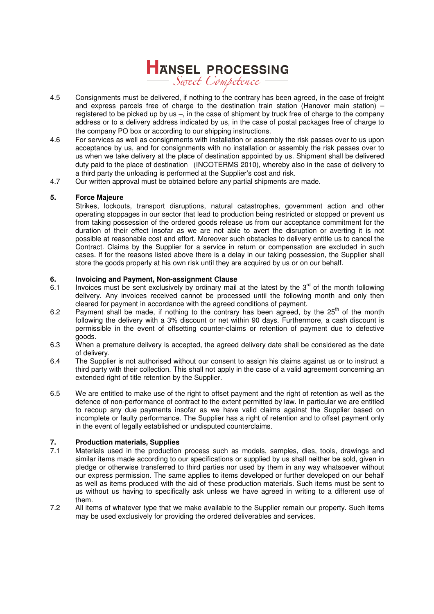

- 4.5 Consignments must be delivered, if nothing to the contrary has been agreed, in the case of freight and express parcels free of charge to the destination train station (Hanover main station) – registered to be picked up by us –, in the case of shipment by truck free of charge to the company address or to a delivery address indicated by us, in the case of postal packages free of charge to the company PO box or according to our shipping instructions.
- 4.6 For services as well as consignments with installation or assembly the risk passes over to us upon acceptance by us, and for consignments with no installation or assembly the risk passes over to us when we take delivery at the place of destination appointed by us. Shipment shall be delivered duty paid to the place of destination (INCOTERMS 2010), whereby also in the case of delivery to a third party the unloading is performed at the Supplier's cost and risk.
- 4.7 Our written approval must be obtained before any partial shipments are made.

#### **5. Force Majeure**

Strikes, lockouts, transport disruptions, natural catastrophes, government action and other operating stoppages in our sector that lead to production being restricted or stopped or prevent us from taking possession of the ordered goods release us from our acceptance commitment for the duration of their effect insofar as we are not able to avert the disruption or averting it is not possible at reasonable cost and effort. Moreover such obstacles to delivery entitle us to cancel the Contract. Claims by the Supplier for a service in return or compensation are excluded in such cases. If for the reasons listed above there is a delay in our taking possession, the Supplier shall store the goods properly at his own risk until they are acquired by us or on our behalf.

#### **6. Invoicing and Payment, Non-assignment Clause**

- 6.1 Invoices must be sent exclusively by ordinary mail at the latest by the  $3^{rd}$  of the month following delivery. Any invoices received cannot be processed until the following month and only then cleared for payment in accordance with the agreed conditions of payment.
- 6.2 Payment shall be made, if nothing to the contrary has been agreed, by the  $25<sup>th</sup>$  of the month following the delivery with a 3% discount or net within 90 days. Furthermore, a cash discount is permissible in the event of offsetting counter-claims or retention of payment due to defective goods.
- 6.3 When a premature delivery is accepted, the agreed delivery date shall be considered as the date of delivery.
- 6.4 The Supplier is not authorised without our consent to assign his claims against us or to instruct a third party with their collection. This shall not apply in the case of a valid agreement concerning an extended right of title retention by the Supplier.
- 6.5 We are entitled to make use of the right to offset payment and the right of retention as well as the defence of non-performance of contract to the extent permitted by law. In particular we are entitled to recoup any due payments insofar as we have valid claims against the Supplier based on incomplete or faulty performance. The Supplier has a right of retention and to offset payment only in the event of legally established or undisputed counterclaims.

### **7. Production materials, Supplies**

- Materials used in the production process such as models, samples, dies, tools, drawings and similar items made according to our specifications or supplied by us shall neither be sold, given in pledge or otherwise transferred to third parties nor used by them in any way whatsoever without our express permission. The same applies to items developed or further developed on our behalf as well as items produced with the aid of these production materials. Such items must be sent to us without us having to specifically ask unless we have agreed in writing to a different use of them.
- 7.2 All items of whatever type that we make available to the Supplier remain our property. Such items may be used exclusively for providing the ordered deliverables and services.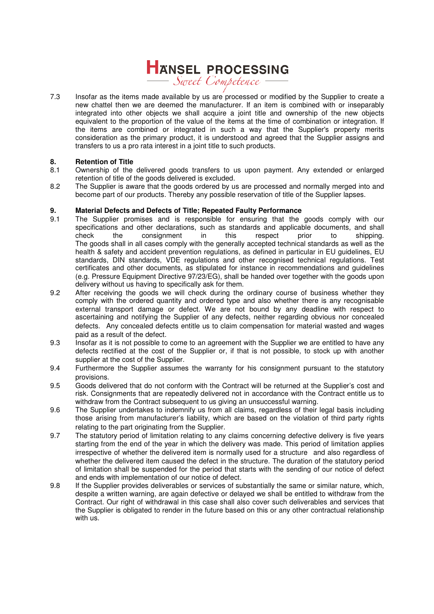## HANSEL PROCESSING

7.3 Insofar as the items made available by us are processed or modified by the Supplier to create a new chattel then we are deemed the manufacturer. If an item is combined with or inseparably integrated into other objects we shall acquire a joint title and ownership of the new objects equivalent to the proportion of the value of the items at the time of combination or integration. If the items are combined or integrated in such a way that the Supplier's property merits consideration as the primary product, it is understood and agreed that the Supplier assigns and transfers to us a pro rata interest in a joint title to such products.

#### **8. Retention of Title**

- 8.1 Ownership of the delivered goods transfers to us upon payment. Any extended or enlarged retention of title of the goods delivered is excluded.
- 8.2 The Supplier is aware that the goods ordered by us are processed and normally merged into and become part of our products. Thereby any possible reservation of title of the Supplier lapses.

#### **9. Material Defects and Defects of Title; Repeated Faulty Performance**

- 9.1 The Supplier promises and is responsible for ensuring that the goods comply with our specifications and other declarations, such as standards and applicable documents, and shall check the consignment in this respect prior to shipping. the consignment in this respect prior to The goods shall in all cases comply with the generally accepted technical standards as well as the health & safety and accident prevention regulations, as defined in particular in EU guidelines, EU standards, DIN standards, VDE regulations and other recognised technical regulations. Test certificates and other documents, as stipulated for instance in recommendations and guidelines (e.g. Pressure Equipment Directive 97/23/EG), shall be handed over together with the goods upon delivery without us having to specifically ask for them.
- 9.2 After receiving the goods we will check during the ordinary course of business whether they comply with the ordered quantity and ordered type and also whether there is any recognisable external transport damage or defect. We are not bound by any deadline with respect to ascertaining and notifying the Supplier of any defects, neither regarding obvious nor concealed defects. Any concealed defects entitle us to claim compensation for material wasted and wages paid as a result of the defect.
- 9.3 Insofar as it is not possible to come to an agreement with the Supplier we are entitled to have any defects rectified at the cost of the Supplier or, if that is not possible, to stock up with another supplier at the cost of the Supplier.
- 9.4 Furthermore the Supplier assumes the warranty for his consignment pursuant to the statutory provisions.
- 9.5 Goods delivered that do not conform with the Contract will be returned at the Supplier's cost and risk. Consignments that are repeatedly delivered not in accordance with the Contract entitle us to withdraw from the Contract subsequent to us giving an unsuccessful warning.
- 9.6 The Supplier undertakes to indemnify us from all claims, regardless of their legal basis including those arising from manufacturer's liability, which are based on the violation of third party rights relating to the part originating from the Supplier.
- 9.7 The statutory period of limitation relating to any claims concerning defective delivery is five years starting from the end of the year in which the delivery was made. This period of limitation applies irrespective of whether the delivered item is normally used for a structure and also regardless of whether the delivered item caused the defect in the structure. The duration of the statutory period of limitation shall be suspended for the period that starts with the sending of our notice of defect and ends with implementation of our notice of defect.
- 9.8 If the Supplier provides deliverables or services of substantially the same or similar nature, which, despite a written warning, are again defective or delayed we shall be entitled to withdraw from the Contract. Our right of withdrawal in this case shall also cover such deliverables and services that the Supplier is obligated to render in the future based on this or any other contractual relationship with us.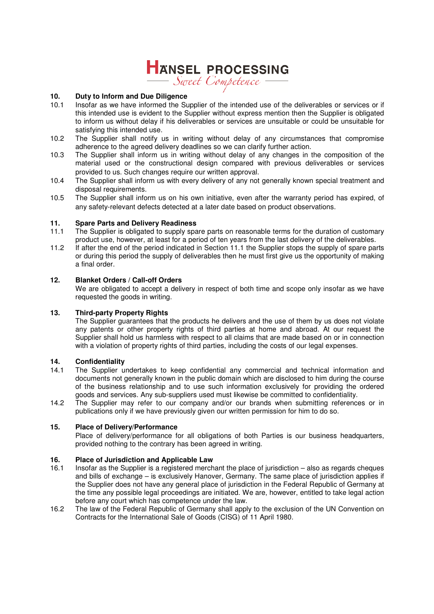## HANSEL PROCESSING

**10. Duty to Inform and Due Diligence**

- 10.1 Insofar as we have informed the Supplier of the intended use of the deliverables or services or if this intended use is evident to the Supplier without express mention then the Supplier is obligated to inform us without delay if his deliverables or services are unsuitable or could be unsuitable for satisfying this intended use.
- 10.2 The Supplier shall notify us in writing without delay of any circumstances that compromise adherence to the agreed delivery deadlines so we can clarify further action.
- 10.3 The Supplier shall inform us in writing without delay of any changes in the composition of the material used or the constructional design compared with previous deliverables or services provided to us. Such changes require our written approval.
- 10.4 The Supplier shall inform us with every delivery of any not generally known special treatment and disposal requirements.
- 10.5 The Supplier shall inform us on his own initiative, even after the warranty period has expired, of any safety-relevant defects detected at a later date based on product observations.

#### **11. Spare Parts and Delivery Readiness**

- 11.1 The Supplier is obligated to supply spare parts on reasonable terms for the duration of customary product use, however, at least for a period of ten years from the last delivery of the deliverables.
- 11.2 If after the end of the period indicated in Section 11.1 the Supplier stops the supply of spare parts or during this period the supply of deliverables then he must first give us the opportunity of making a final order.

#### **12. Blanket Orders / Call-off Orders**

We are obligated to accept a delivery in respect of both time and scope only insofar as we have requested the goods in writing.

#### **13. Third-party Property Rights**

The Supplier guarantees that the products he delivers and the use of them by us does not violate any patents or other property rights of third parties at home and abroad. At our request the Supplier shall hold us harmless with respect to all claims that are made based on or in connection with a violation of property rights of third parties, including the costs of our legal expenses.

#### **14. Confidentiality**

- 14.1 The Supplier undertakes to keep confidential any commercial and technical information and documents not generally known in the public domain which are disclosed to him during the course of the business relationship and to use such information exclusively for providing the ordered goods and services. Any sub-suppliers used must likewise be committed to confidentiality.
- 14.2 The Supplier may refer to our company and/or our brands when submitting references or in publications only if we have previously given our written permission for him to do so.

#### **15. Place of Delivery/Performance**

Place of delivery/performance for all obligations of both Parties is our business headquarters, provided nothing to the contrary has been agreed in writing.

#### **16. Place of Jurisdiction and Applicable Law**

- 16.1 Insofar as the Supplier is a registered merchant the place of jurisdiction also as regards cheques and bills of exchange – is exclusively Hanover, Germany. The same place of jurisdiction applies if the Supplier does not have any general place of jurisdiction in the Federal Republic of Germany at the time any possible legal proceedings are initiated. We are, however, entitled to take legal action before any court which has competence under the law.
- 16.2 The law of the Federal Republic of Germany shall apply to the exclusion of the UN Convention on Contracts for the International Sale of Goods (CISG) of 11 April 1980.